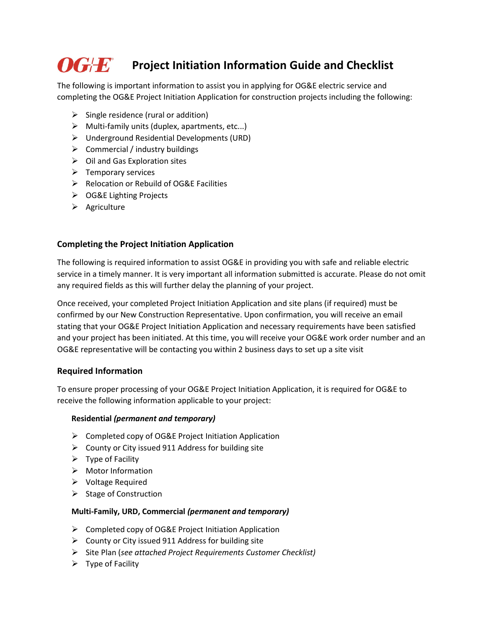# *OGF* **<b>F** Project Initiation Information Guide and Checklist

The following is important information to assist you in applying for OG&E electric service and completing the OG&E Project Initiation Application for construction projects including the following:

- $\triangleright$  Single residence (rural or addition)
- $\triangleright$  Multi-family units (duplex, apartments, etc...)
- ➢ Underground Residential Developments (URD)
- $\triangleright$  Commercial / industry buildings
- $\triangleright$  Oil and Gas Exploration sites
- $\triangleright$  Temporary services
- ➢ Relocation or Rebuild of OG&E Facilities
- ➢ OG&E Lighting Projects
- ➢ Agriculture

#### **Completing the Project Initiation Application**

The following is required information to assist OG&E in providing you with safe and reliable electric service in a timely manner. It is very important all information submitted is accurate. Please do not omit any required fields as this will further delay the planning of your project.

Once received, your completed Project Initiation Application and site plans (if required) must be confirmed by our New Construction Representative. Upon confirmation, you will receive an email stating that your OG&E Project Initiation Application and necessary requirements have been satisfied and your project has been initiated. At this time, you will receive your OG&E work order number and an OG&E representative will be contacting you within 2 business days to set up a site visit

#### **Required Information**

To ensure proper processing of your OG&E Project Initiation Application, it is required for OG&E to receive the following information applicable to your project:

#### **Residential** *(permanent and temporary)*

- ➢ Completed copy of OG&E Project Initiation Application
- $\triangleright$  County or City issued 911 Address for building site
- $\triangleright$  Type of Facility
- ➢ Motor Information
- ➢ Voltage Required
- ➢ Stage of Construction

#### **Multi-Family, URD, Commercial** *(permanent and temporary)*

- ➢ Completed copy of OG&E Project Initiation Application
- ➢ County or City issued 911 Address for building site
- ➢ Site Plan (*see attached Project Requirements Customer Checklist)*
- $\triangleright$  Type of Facility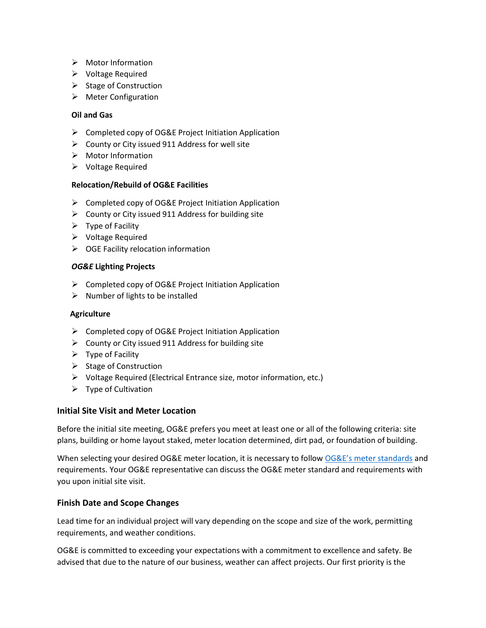- ➢ Motor Information
- ➢ Voltage Required
- $\triangleright$  Stage of Construction
- ➢ Meter Configuration

#### **Oil and Gas**

- ➢ Completed copy of OG&E Project Initiation Application
- ➢ County or City issued 911 Address for well site
- ➢ Motor Information
- ➢ Voltage Required

#### **Relocation/Rebuild of OG&E Facilities**

- ➢ Completed copy of OG&E Project Initiation Application
- $\triangleright$  County or City issued 911 Address for building site
- $\triangleright$  Type of Facility
- ➢ Voltage Required
- ➢ OGE Facility relocation information

#### *OG&E* **Lighting Projects**

- ➢ Completed copy of OG&E Project Initiation Application
- $\triangleright$  Number of lights to be installed

#### **Agriculture**

- ➢ Completed copy of OG&E Project Initiation Application
- $\triangleright$  County or City issued 911 Address for building site
- $\triangleright$  Type of Facility
- ➢ Stage of Construction
- ➢ Voltage Required (Electrical Entrance size, motor information, etc.)
- $\triangleright$  Type of Cultivation

#### **Initial Site Visit and Meter Location**

Before the initial site meeting, OG&E prefers you meet at least one or all of the following criteria: site plans, building or home layout staked, meter location determined, dirt pad, or foundation of building.

When selecting your desired OG&E meter location, it is necessary to follow [OG&E's meter standards](https://www.oge.com/wps/wcm/connect/fb4ff2c5-d7ed-4ccb-ae97-f003172429a8/Meter_Standards_Manual.pdf?MOD=AJPERES&CACHEID=fb4ff2c5-d7ed-4ccb-ae97-f003172429a8) and requirements. Your OG&E representative can discuss the OG&E meter standard and requirements with you upon initial site visit.

#### **Finish Date and Scope Changes**

Lead time for an individual project will vary depending on the scope and size of the work, permitting requirements, and weather conditions.

OG&E is committed to exceeding your expectations with a commitment to excellence and safety. Be advised that due to the nature of our business, weather can affect projects. Our first priority is the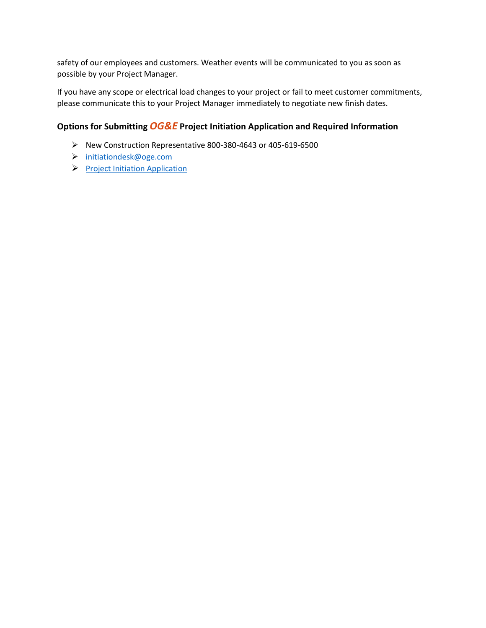safety of our employees and customers. Weather events will be communicated to you as soon as possible by your Project Manager.

If you have any scope or electrical load changes to your project or fail to meet customer commitments, please communicate this to your Project Manager immediately to negotiate new finish dates.

### **Options for Submitting** *OG&E* **Project Initiation Application and Required Information**

- ➢ New Construction Representative 800-380-4643 or 405-619-6500
- ➢ [initiationdesk@oge.com](mailto:initiationdesk@oge.com)
- ➢ [Project Initiation Application](https://www.oge.com/wps/portal/oge/my-account/new-construction/new-construction-form/!ut/p/a1/04_Sj9CPykssy0xPLMnMz0vMAfGjzOItAt0NPLxNDH0tnC2dDAK9jUJC3TzMjQwMjIEKIkEKjAycDTxNjLzcvY1cDRy9XVwCTQNcDD3NzSjT72RCnH4DHMDRgJD-cP0oVCX-ribGBoH-ZoFmRsYeBu5GpjAFeLyIVwHID2AFeBxZkBsaGmGQ6ZnuqKgIACGd87w!/dl5/d5/L2dBISEvZ0FBIS9nQSEh/)